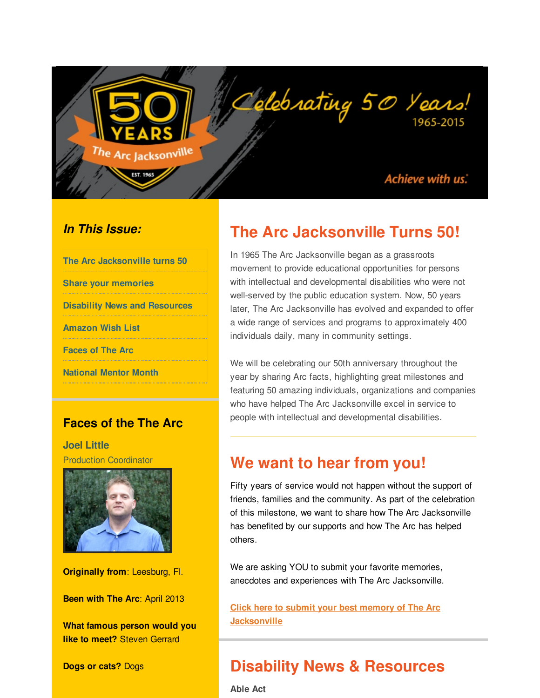

#### *In This Issue:*

| The Arc Jacksonville turns 50        |
|--------------------------------------|
| <b>Share your memories</b>           |
| <b>Disability News and Resources</b> |
| <b>Amazon Wish List</b>              |
| <b>Faces of The Arc</b>              |
| <b>National Mentor Month</b>         |
|                                      |

<span id="page-0-0"></span>The Arc Jacksonville

#### **Faces of the The Arc**

**Joel Little** Production Coordinator



**Originally from**: Leesburg, Fl.

**Been with The Arc**: April 2013

**What famous person would you like to meet?** Steven Gerrard

**Dogs or cats?** Dogs

## **The Arc Jacksonville Turns 50!**

Oclebrating 50 Years!

In 1965 The Arc Jacksonville began as a grassroots movement to provide educational opportunities for persons with intellectual and developmental disabilities who were not well-served by the public education system. Now, 50 years later, The Arc Jacksonville has evolved and expanded to offer a wide range of services and programs to approximately 400 individuals daily, many in community settings.

We will be celebrating our 50th anniversary throughout the year by sharing Arc facts, highlighting great milestones and featuring 50 amazing individuals, organizations and companies who have helped The Arc Jacksonville excel in service to people with intellectual and developmental disabilities.

### **We want to hear from you!**

Fifty years of service would not happen without the support of friends, families and the community. As part of the celebration of this milestone, we want to share how The Arc Jacksonville has benefited by our supports and how The Arc has helped others.

We are asking YOU to submit your favorite memories, anecdotes and experiences with The Arc Jacksonville.

**Click here to submit your best memory of The Arc [Jacksonville](http://r20.rs6.net/tn.jsp?f=001y1ltD-1ldJDzDiVwNHG-Es5HooYJqU2RTJRjSvwn_LiyjeQXwVNZuHyBiwb4UAcTIMa8xchpg-vWlFHNqm1rdr6Lx62Wy3uWpXEA2YFdXUgYa9ZntJMcxEAh5SDrSWoAn4G-JXSz7hQlZTG_a2tZUYT5ElAyt7XOpVk23dP9MnBSt2s9SPa95_-iKbWgspPyObnvDM79K4NQecZtlV6P1AgrQ_TUUxd91WQXc84xrR1hyRo2mXRdnnvk66U9HYE6q8lYnq4Be9HoQ_jGQf7UdEgp8uVQHJk3_Zl18UzKRXa7nQ88RNsbYvyitl6Ac18Tuv58RIoVwq7cWJyeCJYTdXMPq7IjrcsE&c=&ch=)**

## **Disability News & Resources**

**Able Act**